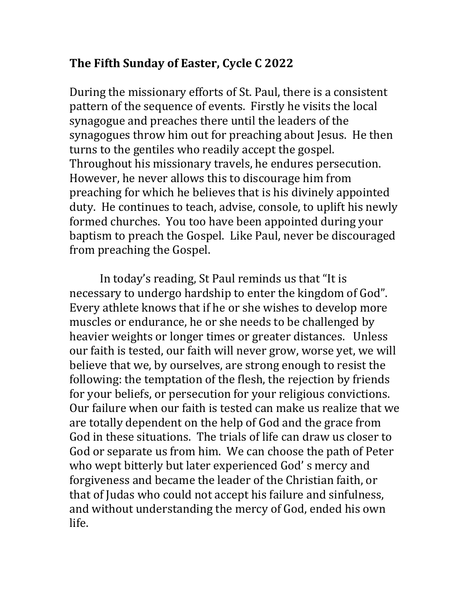## **The Fifth Sunday of Easter, Cycle C 2022**

During the missionary efforts of St. Paul, there is a consistent pattern of the sequence of events. Firstly he visits the local synagogue and preaches there until the leaders of the synagogues throw him out for preaching about Jesus. He then turns to the gentiles who readily accept the gospel. Throughout his missionary travels, he endures persecution. However, he never allows this to discourage him from preaching for which he believes that is his divinely appointed duty. He continues to teach, advise, console, to uplift his newly formed churches. You too have been appointed during your baptism to preach the Gospel. Like Paul, never be discouraged from preaching the Gospel.

In today's reading, St Paul reminds us that "It is necessary to undergo hardship to enter the kingdom of God". Every athlete knows that if he or she wishes to develop more muscles or endurance, he or she needs to be challenged by heavier weights or longer times or greater distances. Unless our faith is tested, our faith will never grow, worse yet, we will believe that we, by ourselves, are strong enough to resist the following: the temptation of the flesh, the rejection by friends for your beliefs, or persecution for your religious convictions. Our failure when our faith is tested can make us realize that we are totally dependent on the help of God and the grace from God in these situations. The trials of life can draw us closer to God or separate us from him. We can choose the path of Peter who wept bitterly but later experienced God's mercy and forgiveness and became the leader of the Christian faith, or that of Judas who could not accept his failure and sinfulness, and without understanding the mercy of God, ended his own life.